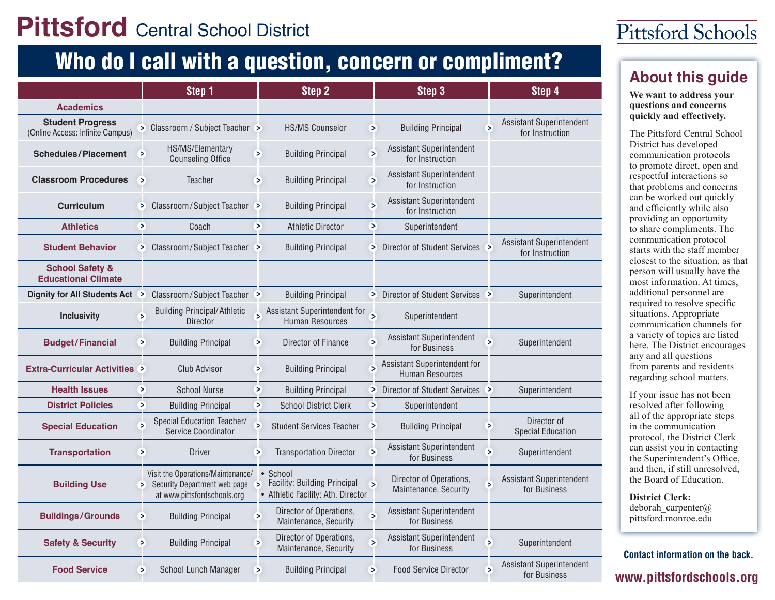## **Pittsford** Central School District

## Who do I call with a question, concern or compliment?<br><u>About this quide</u>

|                                                             |        | Step 1                                                                                           |                          | Step 2                                                                                 |                          | Step 3                                                 |        | Step 4                                      |
|-------------------------------------------------------------|--------|--------------------------------------------------------------------------------------------------|--------------------------|----------------------------------------------------------------------------------------|--------------------------|--------------------------------------------------------|--------|---------------------------------------------|
| <b>Academics</b>                                            |        |                                                                                                  |                          |                                                                                        |                          |                                                        |        |                                             |
| <b>Student Progress</b><br>(Online Access: Infinite Campus) |        | > Classroom / Subject Teacher >                                                                  |                          | <b>HS/MS Counselor</b>                                                                 | ×                        | <b>Building Principal</b>                              | $\geq$ | Assistant Superintendent<br>for Instruction |
| <b>Schedules/Placement</b>                                  | $\geq$ | HS/MS/Elementary<br><b>Counseling Office</b>                                                     | ⋝                        | <b>Building Principal</b>                                                              | ×                        | Assistant Superintendent<br>for Instruction            |        |                                             |
| <b>Classroom Procedures</b>                                 | ⋝      | <b>Teacher</b>                                                                                   | $\geq$                   | <b>Building Principal</b>                                                              | ⋝                        | Assistant Superintendent<br>for Instruction            |        |                                             |
| <b>Curriculum</b>                                           | ⋗      | Classroom/Subject Teacher                                                                        |                          | <b>Building Principal</b>                                                              | ⋗                        | <b>Assistant Superintendent</b><br>for Instruction     |        |                                             |
| <b>Athletics</b>                                            | ⋝      | Coach                                                                                            | ×                        | <b>Athletic Director</b>                                                               | ×                        | Superintendent                                         |        |                                             |
| <b>Student Behavior</b>                                     |        | > Classroom/Subject Teacher >                                                                    |                          | <b>Building Principal</b>                                                              |                          | > Director of Student Services >                       |        | Assistant Superintendent<br>for Instruction |
| <b>School Safety &amp;</b><br><b>Educational Climate</b>    |        |                                                                                                  |                          |                                                                                        |                          |                                                        |        |                                             |
| Dignity for All Students Act >                              |        | Classroom/Subject Teacher                                                                        |                          | <b>Building Principal</b>                                                              |                          | > Director of Student Services >                       |        | Superintendent                              |
| <b>Inclusivity</b>                                          | ⋝      | <b>Building Principal/Athletic</b><br><b>Director</b>                                            | $\overline{\phantom{a}}$ | Assistant Superintendent for<br><b>Human Resources</b>                                 | $\overline{\phantom{a}}$ | Superintendent                                         |        |                                             |
| <b>Budget/Financial</b>                                     | ×      | <b>Building Principal</b>                                                                        | ⋗                        | Director of Finance                                                                    | ⋗                        | Assistant Superintendent<br>for Business               | Б      | Superintendent                              |
| <b>Extra-Curricular Activities &gt;</b>                     |        | Club Advisor                                                                                     | ⋗                        | <b>Building Principal</b>                                                              | ⋝                        | Assistant Superintendent for<br><b>Human Resources</b> |        |                                             |
| <b>Health Issues</b>                                        | ⋗      | <b>School Nurse</b>                                                                              | ×                        | <b>Building Principal</b>                                                              |                          | > Director of Student Services >                       |        | Superintendent                              |
| <b>District Policies</b>                                    | ⋗      | <b>Building Principal</b>                                                                        | ⋗                        | <b>School District Clerk</b>                                                           | ×                        | Superintendent                                         |        |                                             |
| <b>Special Education</b>                                    | Б      | Special Education Teacher/<br>Service Coordinator                                                | 5                        | <b>Student Services Teacher</b>                                                        | ×                        | <b>Building Principal</b>                              | ⋝      | Director of<br><b>Special Education</b>     |
| <b>Transportation</b>                                       | ⋗      | <b>Driver</b>                                                                                    | ⋗                        | <b>Transportation Director</b>                                                         | ⋝                        | Assistant Superintendent<br>for Business               | Б      | Superintendent                              |
| <b>Building Use</b>                                         | ×.     | Visit the Operations/Maintenance/<br>Security Department web page<br>at www.pittsfordschools.org | $\geq$                   | $\bullet$ School<br>Facility: Building Principal<br>• Athletic Facility: Ath. Director | S                        | Director of Operations,<br>Maintenance, Security       |        | Assistant Superintendent<br>for Business    |
| <b>Buildings/Grounds</b>                                    | ⋗      | <b>Building Principal</b>                                                                        | $\overline{\phantom{1}}$ | Director of Operations,<br>Maintenance, Security                                       | Б                        | Assistant Superintendent<br>for Business               |        |                                             |
| <b>Safety &amp; Security</b>                                | ⋗      | <b>Building Principal</b>                                                                        | ⋗                        | Director of Operations,<br>Maintenance, Security                                       | Б                        | Assistant Superintendent<br>for Business               | ⋝      | Superintendent                              |
| <b>Food Service</b>                                         | ⋗      | School Lunch Manager                                                                             | ⋗                        | <b>Building Principal</b>                                                              | ⋝                        | <b>Food Service Director</b>                           | ⋗      | Assistant Superintendent<br>for Business    |

## Pittsford Schools

**We want to address your questions and concerns quickly and effectively.**

The Pittsford Central School District has developed communication protocols to promote direct, open and respectful interactions so that problems and concerns can be worked out quickly and efficiently while also providing an opportunity to share compliments. The communication protocol starts with the staff member closest to the situation, as that person will usually have the most information. At times, additional personnel are required to resolve specific situations. Appropriate communication channels for a variety of topics are listed here. The District encourages any and all questions from parents and residents regarding school matters.

If your issue has not been resolved after following all of the appropriate steps in the communication protocol, the District Clerk can assist you in contacting the Superintendent's Office, and then, if still unresolved, the Board of Education.

**District Clerk:** deborah carpenter $@$ pittsford.monroe.edu

www.pittsfordschools.org **Contact information on the back.**